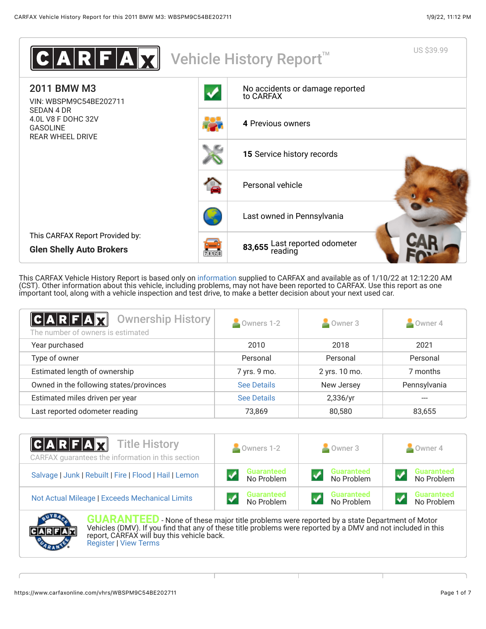

This CARFAX Vehicle History Report is based only on [information](http://www.carfax.com/company/vhr-data-sources) supplied to CARFAX and available as of 1/10/22 at 12:12:20 AM (CST). Other information about this vehicle, including problems, may not have been reported to CARFAX. Use this report as one important tool, along with a vehicle inspection and test drive, to make a better decision about your next used car.

<span id="page-0-0"></span>

| C A R F A X<br>Ownership History<br>The number of owners is estimated | Owners 1-2         | Owner 3       | Owner 4      |
|-----------------------------------------------------------------------|--------------------|---------------|--------------|
| Year purchased                                                        | 2010               | 2018          | 2021         |
| Type of owner                                                         | Personal           | Personal      | Personal     |
| Estimated length of ownership                                         | 7 yrs. 9 mo.       | 2 yrs. 10 mo. | 7 months     |
| Owned in the following states/provinces                               | <b>See Details</b> | New Jersey    | Pennsylvania |
| Estimated miles driven per year                                       | <b>See Details</b> | 2,336/yr      | ---          |
| Last reported odometer reading                                        | 73,869             | 80,580        | 83,655       |

| <b>CARFAX</b> Title History<br>CARFAX guarantees the information in this section | Owners 1-2                      | Owner 3                         | $\blacksquare$ Owner 4          |  |
|----------------------------------------------------------------------------------|---------------------------------|---------------------------------|---------------------------------|--|
| Salvage   Junk   Rebuilt   Fire   Flood   Hail   Lemon                           | <b>Guaranteed</b><br>No Problem | <b>Guaranteed</b><br>No Problem | <b>Guaranteed</b><br>No Problem |  |
| Not Actual Mileage   Exceeds Mechanical Limits                                   | <b>Guaranteed</b><br>No Problem | <b>Guaranteed</b><br>No Problem | <b>Guaranteed</b><br>No Problem |  |



**GUARANTEED** - None of these major title problems were reported by a state Department of Motor Vehicles (DMV). If you find that any of these title problems were reported by a DMV and not included in this report, CARFAX will buy this vehicle back. [Register](https://www.carfax.com/Service/bbg) | [View Terms](http://www.carfaxonline.com/legal/bbgTerms)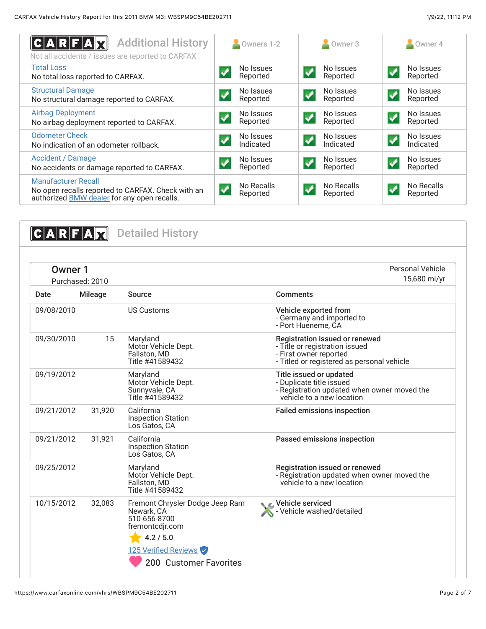<span id="page-1-0"></span>

| <b>Additional History</b><br>$ {\bf C} {\bf A} {\bf R} {\bf F} {\bf A} {\bf X}$<br>Not all accidents / issues are reported to CARFAX  | Owners 1-2             | Owner 3                | Owner 4                |
|---------------------------------------------------------------------------------------------------------------------------------------|------------------------|------------------------|------------------------|
| <b>Total Loss</b>                                                                                                                     | No Issues              | No Issues              | No Issues              |
| No total loss reported to CARFAX.                                                                                                     | Reported               | Reported               | Reported               |
| <b>Structural Damage</b>                                                                                                              | No Issues              | No Issues              | No Issues              |
| No structural damage reported to CARFAX.                                                                                              | Reported               | Reported               | Reported               |
| <b>Airbag Deployment</b>                                                                                                              | No Issues              | No Issues              | No Issues              |
| No airbag deployment reported to CARFAX.                                                                                              | Reported               | Reported               | Reported               |
| <b>Odometer Check</b>                                                                                                                 | No Issues              | No Issues              | No Issues              |
| No indication of an odometer rollback.                                                                                                | Indicated              | Indicated              | Indicated              |
| <b>Accident / Damage</b>                                                                                                              | No Issues              | No Issues              | No Issues              |
| No accidents or damage reported to CARFAX.                                                                                            | Reported               | Reported               | Reported               |
| <b>Manufacturer Recall</b><br>No open recalls reported to CARFAX. Check with an<br>authorized <b>BMW</b> dealer for any open recalls. | No Recalls<br>Reported | No Recalls<br>Reported | No Recalls<br>Reported |

<span id="page-1-2"></span><span id="page-1-1"></span>

| <b>Owner 1</b><br>Purchased: 2010 |                |                                                                                                                       | Personal Vehicle<br>15,680 mi/yr                                                                                                         |
|-----------------------------------|----------------|-----------------------------------------------------------------------------------------------------------------------|------------------------------------------------------------------------------------------------------------------------------------------|
| Date                              | <b>Mileage</b> | Source                                                                                                                | <b>Comments</b>                                                                                                                          |
| 09/08/2010                        |                | <b>US Customs</b>                                                                                                     | Vehicle exported from<br>- Germany and imported to<br>- Port Huéneme. CA                                                                 |
| 09/30/2010                        | 15             | Maryland<br>Motor Vehicle Dept.<br>Fallston, MD<br>Title #41589432                                                    | Registration issued or renewed<br>- Title or registration issued<br>- First owner reported<br>- Titled or registered as personal vehicle |
| 09/19/2012                        |                | Maryland<br>Motor Vehicle Dept.<br>Sunnyvale, CA<br>Title #41589432                                                   | Title issued or updated<br>- Duplicate title issued<br>- Registration updated when owner moved the<br>vehicle to a new location          |
| 09/21/2012                        | 31,920         | California<br><b>Inspection Station</b><br>Los Gatos, CA                                                              | <b>Failed emissions inspection</b>                                                                                                       |
| 09/21/2012                        | 31,921         | California<br><b>Inspection Station</b><br>Los Gatos, CA                                                              | Passed emissions inspection                                                                                                              |
| 09/25/2012                        |                | Maryland<br>Motor Vehicle Dept.<br>Fallston, MD<br>Title #41589432                                                    | <b>Registration issued or renewed</b><br>- Registration updated when owner moved the<br>vehicle to a new location                        |
| 10/15/2012                        | 32,083         | Fremont Chrysler Dodge Jeep Ram<br>Newark, CA<br>510-656-8700<br>fremontcdjr.com<br>4.2 / 5.0<br>125 Verified Reviews | C Vehicle serviced<br>Vehicle washed/detailed                                                                                            |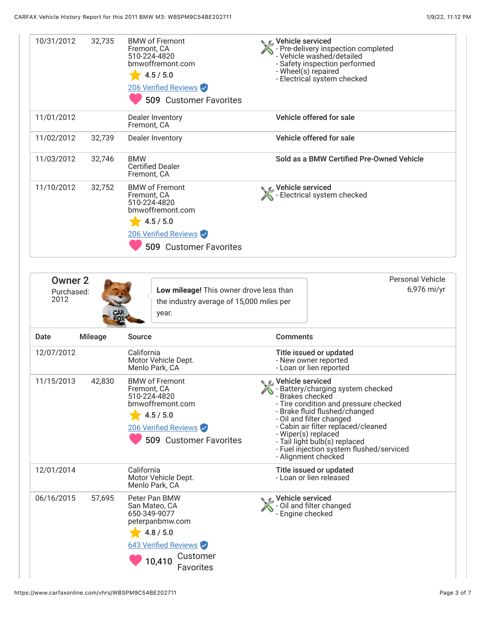| 10/31/2012                           |                |                                                                                                                                                |                                                                                                                                                                                                                                                                                                                                                     |  |
|--------------------------------------|----------------|------------------------------------------------------------------------------------------------------------------------------------------------|-----------------------------------------------------------------------------------------------------------------------------------------------------------------------------------------------------------------------------------------------------------------------------------------------------------------------------------------------------|--|
|                                      | 32,735         | <b>BMW of Fremont</b><br>Fremont, CA<br>510-224-4820<br>bmwoffremont.com<br>4.5 / 5.0<br>206 Verified Reviews<br><b>509 Customer Favorites</b> | ९ द्धा∨ehicle serviced<br>- Pre-delivery inspection completed<br>- Vehicle washed/detailed<br>- Safety inspection performed<br>- Wheel(s) repaired<br>- Electrical system checked                                                                                                                                                                   |  |
| 11/01/2012                           |                | Dealer Inventory<br>Fremont, CA                                                                                                                | Vehicle offered for sale                                                                                                                                                                                                                                                                                                                            |  |
| 11/02/2012                           | 32,739         | Dealer Inventory                                                                                                                               | Vehicle offered for sale                                                                                                                                                                                                                                                                                                                            |  |
| 11/03/2012                           | 32,746         | <b>BMW</b><br><b>Certified Dealer</b><br>Fremont, CA                                                                                           | Sold as a BMW Certified Pre-Owned Vehicle                                                                                                                                                                                                                                                                                                           |  |
| 11/10/2012                           | 32,752         | <b>BMW of Fremont</b><br>Fremont, CA<br>510-224-4820<br>bmwoffremont.com<br>4.5 / 5.0<br>206 Verified Reviews<br><b>509 Customer Favorites</b> | Vehicle serviced<br>- Electrical system checked                                                                                                                                                                                                                                                                                                     |  |
| <b>Owner 2</b><br>Purchased:<br>2012 |                | Low mileage! This owner drove less than<br>the industry average of 15,000 miles per<br>year.                                                   | <b>Personal Vehicle</b><br>6,976 mi/yr                                                                                                                                                                                                                                                                                                              |  |
| Date                                 | <b>Mileage</b> | <b>Source</b>                                                                                                                                  | <b>Comments</b>                                                                                                                                                                                                                                                                                                                                     |  |
| 12/07/2012                           |                |                                                                                                                                                |                                                                                                                                                                                                                                                                                                                                                     |  |
|                                      |                | California<br>Motor Vehicle Dept.<br>Menlo Park, CA                                                                                            | Title issued or updated<br>- New owner reported<br>- Loan or lien reported                                                                                                                                                                                                                                                                          |  |
|                                      | 42,830         | <b>BMW of Fremont</b><br>Fremont, CA<br>510-224-4820<br>bmwoffremont.com<br>4.5 / 5.0<br>206 Verified Reviews<br><b>509 Customer Favorites</b> | C Vehicle serviced<br>- Battery/charging system checked<br>- Brakes checked<br>- Tire condition and pressure checked<br>- Brake fluid flushed/changed<br>- Oil and filter changed<br>- Cabin air filter replaced/cleaned<br>- Wiper(s) replaced<br>- Tail light bulb(s) replaced<br>- Fuel injection system flushed/serviced<br>- Alignment checked |  |
| 11/15/2013<br>12/01/2014             |                | California<br>Motor Vehicle Dept.<br>Menlo Park, CA                                                                                            | Title issued or updated<br>- Loan or lien released                                                                                                                                                                                                                                                                                                  |  |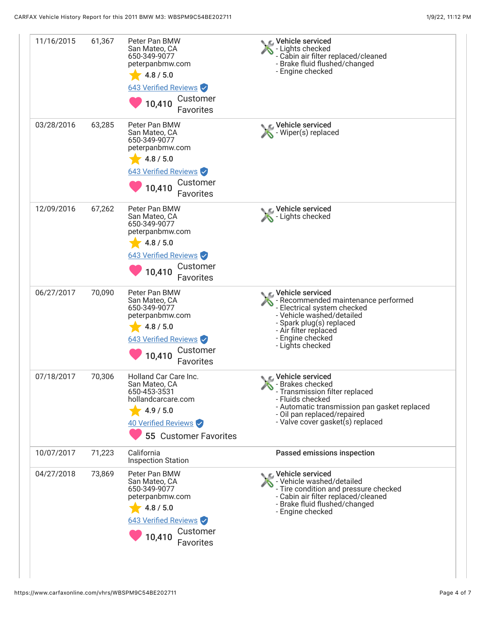| 11/16/2015 | 61,367 | Peter Pan BMW<br>San Mateo, CA<br>650-349-9077<br>peterpanbmw.com<br>4.8 / 5.0<br>643 Verified Reviews<br>Customer<br>10,410<br><b>Favorites</b>        | C Vehicle serviced<br>- Lights checked<br>- Cabin air filter replaced/cleaned<br>- Brake fluid flushed/changed<br>- Engine checked                                                                                 |
|------------|--------|---------------------------------------------------------------------------------------------------------------------------------------------------------|--------------------------------------------------------------------------------------------------------------------------------------------------------------------------------------------------------------------|
| 03/28/2016 | 63,285 | Peter Pan BMW<br>San Mateo, CA<br>650-349-9077<br>peterpanbmw.com<br>4.8 / 5.0<br>643 Verified Reviews<br>Customer<br>10,410<br>Favorites               | C Vehicle serviced<br>- Wiper(s) replaced                                                                                                                                                                          |
| 12/09/2016 | 67,262 | Peter Pan BMW<br>San Mateo, CA<br>650-349-9077<br>peterpanbmw.com<br>4.8 / 5.0<br><b>643 Verified Reviews</b><br>Customer<br>10,410<br>Favorites        | Vehicle serviced<br>Lights checked                                                                                                                                                                                 |
| 06/27/2017 | 70,090 | Peter Pan BMW<br>San Mateo, CA<br>650-349-9077<br>peterpanbmw.com<br>4.8 / 5.0<br><b>643 Verified Reviews</b><br>Customer<br>10,410<br>Favorites        | L Vehicle serviced<br>- Recommended maintenance performed<br>- Electrical system checked<br>- Vehicle washed/detailed<br>- Spark plug(s) replaced<br>- Air filter replaced<br>- Engine checked<br>- Lights checked |
| 07/18/2017 | 70,306 | Holland Car Care Inc.<br>San Mateo, CA<br>650-453-3531<br>hollandcarcare.com<br>4.9 / 5.0<br>40 Verified Reviews<br><b>55 Customer Favorites</b>        | C Vehicle serviced<br>- Brakes checked<br>- Transmission filter replaced<br>- Fluids checked<br>- Automatic transmission pan gasket replaced<br>- Oil pan replaced/repaired<br>- Valve cover gasket(s) replaced    |
| 10/07/2017 | 71,223 | California<br><b>Inspection Station</b>                                                                                                                 | Passed emissions inspection                                                                                                                                                                                        |
| 04/27/2018 | 73,869 | Peter Pan BMW<br>San Mateo, CA<br>650-349-9077<br>peterpanbmw.com<br>4.8 / 5.0<br><b>643 Verified Reviews</b><br>Customer<br>10,410<br><b>Favorites</b> | Vehicle serviced<br>- Vehicle washed/detailed<br>- Tire condition and pressure checked<br>- Cabin air filter replaced/cleaned<br>- Brake fluid flushed/changed<br>- Engine checked                                 |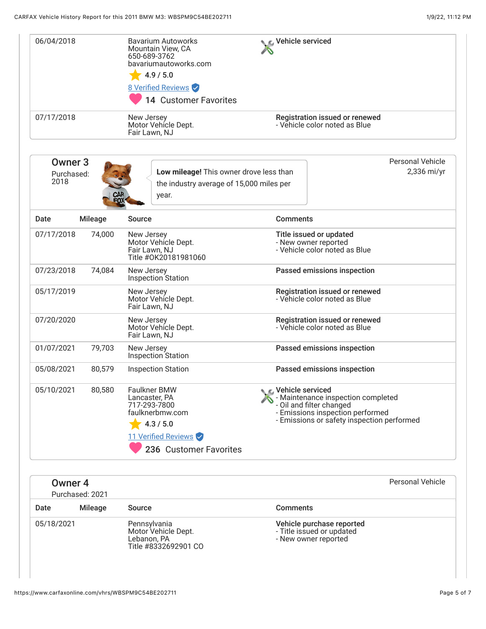| 06/04/2018                               |                | <b>Bavarium Autoworks</b><br>Mountain View, CA<br>650-689-3762<br>bavariumautoworks.com<br>4.9 / 5.0<br><b>8 Verified Reviews</b><br><b>14 Customer Favorites</b> | <b>C</b> Vehicle serviced |                                                                                                                                                  |
|------------------------------------------|----------------|-------------------------------------------------------------------------------------------------------------------------------------------------------------------|---------------------------|--------------------------------------------------------------------------------------------------------------------------------------------------|
| 07/17/2018                               |                | New Jersey<br>Motor Vehícle Dept.<br>Fair Lawn, NJ                                                                                                                |                           | Registration issued or renewed<br>- Vehicle color noted as Blue                                                                                  |
| Owner <sub>3</sub><br>Purchased:<br>2018 |                | Low mileage! This owner drove less than<br>the industry average of 15,000 miles per<br>year.                                                                      |                           | <b>Personal Vehicle</b><br>2,336 mi/yr                                                                                                           |
| Date                                     | <b>Mileage</b> | <b>Source</b>                                                                                                                                                     | <b>Comments</b>           |                                                                                                                                                  |
| 07/17/2018                               | 74,000         | New Jersey<br>Motor Vehicle Dept.<br>Fair Lawn, NJ<br>Title #0K20181981060                                                                                        |                           | Title issued or updated<br>- New owner reported<br>- Vehicle color noted as Blue                                                                 |
| 07/23/2018                               | 74,084         | New Jersey<br>Inspection Station                                                                                                                                  |                           | Passed emissions inspection                                                                                                                      |
| 05/17/2019                               |                | New Jersey<br>Motor Vehícle Dept.<br>Fair Lawn, NJ                                                                                                                |                           | Registration issued or renewed<br>- Vehicle color noted as Blue                                                                                  |
| 07/20/2020                               |                | New Jersey<br>Motor Vehícle Dept.<br>Fair Lawn, NJ                                                                                                                |                           | Registration issued or renewed<br>- Vehicle color noted as Blue                                                                                  |
| 01/07/2021                               | 79,703         | New Jersey<br>Inspection Station                                                                                                                                  |                           | Passed emissions inspection                                                                                                                      |
| 05/08/2021                               | 80,579         | <b>Inspection Station</b>                                                                                                                                         |                           | Passed emissions inspection                                                                                                                      |
| 05/10/2021                               | 80,580         | Faulkner BMW<br>Lancaster, PA<br>717-293-7800<br>faulknerbmw.com<br>4.3 / 5.0<br>11 Verified Reviews<br>236 Customer Favorites                                    | Vehicle serviced          | - Maintenance inspection completed<br>- Oil and filter changed<br>- Emissions inspection performed<br>- Emissions or safety inspection performed |
| <b>Owner 4</b><br>Purchased: 2021        |                |                                                                                                                                                                   |                           | <b>Personal Vehicle</b>                                                                                                                          |
| Date                                     | <b>Mileage</b> | <b>Source</b>                                                                                                                                                     | <b>Comments</b>           |                                                                                                                                                  |
| 05/18/2021                               |                | Pennsylvania<br>Motor Vehicle Dept.<br>Lebanon, PA<br>Title #8332692901 CO                                                                                        |                           | Vehicle purchase reported<br>- Title issued or updated<br>- New owner reported                                                                   |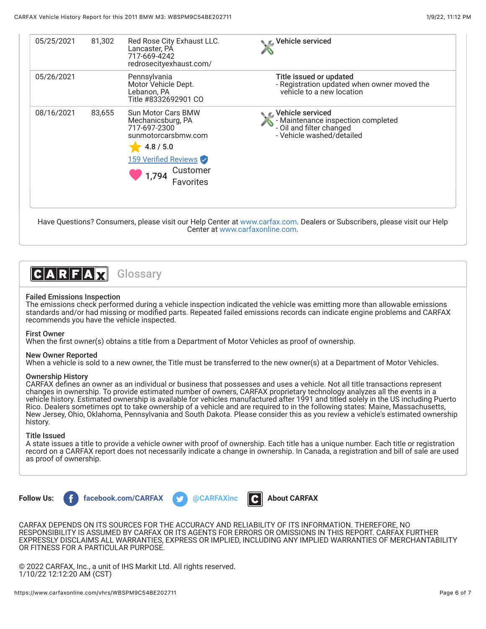| 05/25/2021 | 81,302 | Red Rose City Exhaust LLC.<br>Lancaster, PA<br>717-669-4242<br>redrosecityexhaust.com/                                                                       | ⊾ ∈ Vehicle serviced                                                                                              |
|------------|--------|--------------------------------------------------------------------------------------------------------------------------------------------------------------|-------------------------------------------------------------------------------------------------------------------|
| 05/26/2021 |        | Pennsylvania<br>Motor Vehicle Dept.<br>Lebanon, PA<br>Title #8332692901 CO                                                                                   | Title issued or updated<br>- Registration updated when owner moved the<br>vehicle to a new location               |
| 08/16/2021 | 83,655 | <b>Sun Motor Cars BMW</b><br>Mechanicsburg, PA<br>717-697-2300<br>sunmotorcarsbmw.com<br>4.8 / 5.0<br>159 Verified Reviews<br>Customer<br>1,794<br>Favorites | C Vehicle serviced<br>- Maintenance inspection completed<br>- Oil and filter changed<br>- Vehicle washed/detailed |

Have Questions? Consumers, please visit our Help Center at [www.carfax.com](http://www.carfax.com/help). Dealers or Subscribers, please visit our Help Center at [www.carfaxonline.com.](http://www.carfaxonline.com/)



# Failed Emissions Inspection

The emissions check performed during a vehicle inspection indicated the vehicle was emitting more than allowable emissions standards and/or had missing or modified parts. Repeated failed emissions records can indicate engine problems and CARFAX recommends you have the vehicle inspected.

### First Owner

When the first owner(s) obtains a title from a Department of Motor Vehicles as proof of ownership.

### New Owner Reported

When a vehicle is sold to a new owner, the Title must be transferred to the new owner(s) at a Department of Motor Vehicles.

### Ownership History

CARFAX defines an owner as an individual or business that possesses and uses a vehicle. Not all title transactions represent changes in ownership. To provide estimated number of owners, CARFAX proprietary technology analyzes all the events in a vehicle history. Estimated ownership is available for vehicles manufactured after 1991 and titled solely in the US including Puerto Rico. Dealers sometimes opt to take ownership of a vehicle and are required to in the following states: Maine, Massachusetts, New Jersey, Ohio, Oklahoma, Pennsylvania and South Dakota. Please consider this as you review a vehicle's estimated ownership history.

# Title Issued

A state issues a title to provide a vehicle owner with proof of ownership. Each title has a unique number. Each title or registration record on a CARFAX report does not necessarily indicate a change in ownership. In Canada, a registration and bill of sale are used as proof of ownership.



CARFAX DEPENDS ON ITS SOURCES FOR THE ACCURACY AND RELIABILITY OF ITS INFORMATION. THEREFORE, NO RESPONSIBILITY IS ASSUMED BY CARFAX OR ITS AGENTS FOR ERRORS OR OMISSIONS IN THIS REPORT. CARFAX FURTHER EXPRESSLY DISCLAIMS ALL WARRANTIES, EXPRESS OR IMPLIED, INCLUDING ANY IMPLIED WARRANTIES OF MERCHANTABILITY OR FITNESS FOR A PARTICULAR PURPOSE.

© 2022 CARFAX, Inc., a unit of IHS Markit Ltd. All rights reserved. 1/10/22 12:12:20 AM (CST)